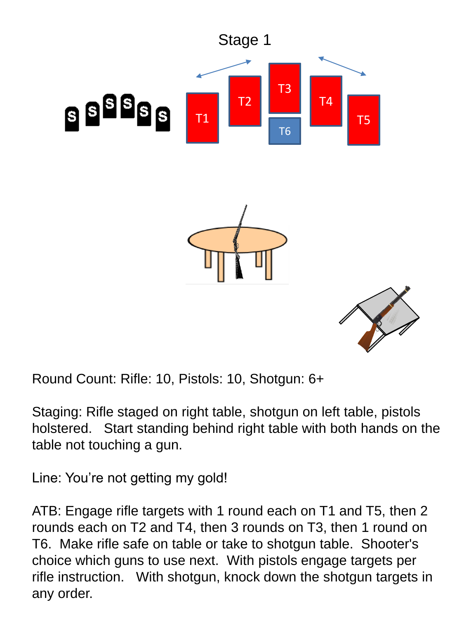

Round Count: Rifle: 10, Pistols: 10, Shotgun: 6+

Staging: Rifle staged on right table, shotgun on left table, pistols holstered. Start standing behind right table with both hands on the table not touching a gun.

Line: You're not getting my gold!

ATB: Engage rifle targets with 1 round each on T1 and T5, then 2 rounds each on T2 and T4, then 3 rounds on T3, then 1 round on T6. Make rifle safe on table or take to shotgun table. Shooter's choice which guns to use next. With pistols engage targets per rifle instruction. With shotgun, knock down the shotgun targets in any order.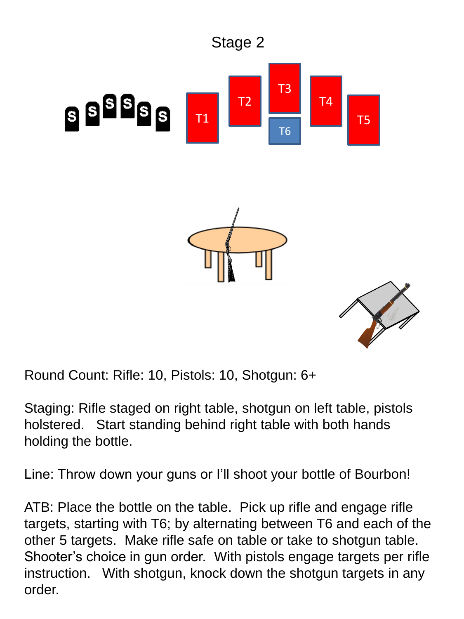

Round Count: Rifle: 10, Pistols: 10, Shotgun: 6+

Staging: Rifle staged on right table, shotgun on left table, pistols holstered. Start standing behind right table with both hands holding the bottle.

Line: Throw down your guns or I'll shoot your bottle of Bourbon!

ATB: Place the bottle on the table. Pick up rifle and engage rifle targets, starting with T6; by alternating between T6 and each of the other 5 targets. Make rifle safe on table or take to shotgun table. Shooter's choice in gun order. With pistols engage targets per rifle instruction. With shotgun, knock down the shotgun targets in any order.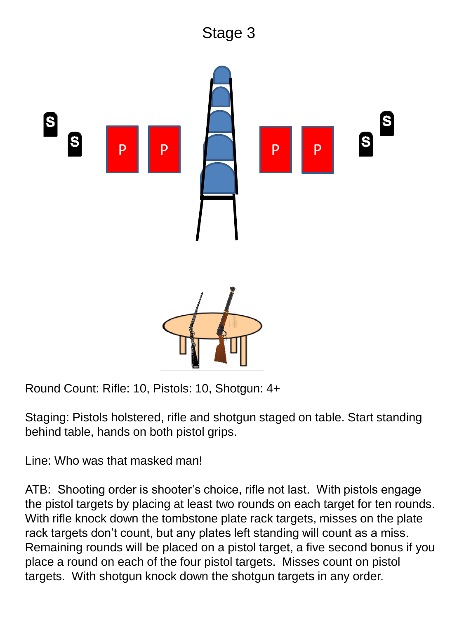## Stage 3



Round Count: Rifle: 10, Pistols: 10, Shotgun: 4+

Staging: Pistols holstered, rifle and shotgun staged on table. Start standing behind table, hands on both pistol grips.

Line: Who was that masked man!

ATB: Shooting order is shooter's choice, rifle not last. With pistols engage the pistol targets by placing at least two rounds on each target for ten rounds. With rifle knock down the tombstone plate rack targets, misses on the plate rack targets don't count, but any plates left standing will count as a miss. Remaining rounds will be placed on a pistol target, a five second bonus if you place a round on each of the four pistol targets. Misses count on pistol targets. With shotgun knock down the shotgun targets in any order.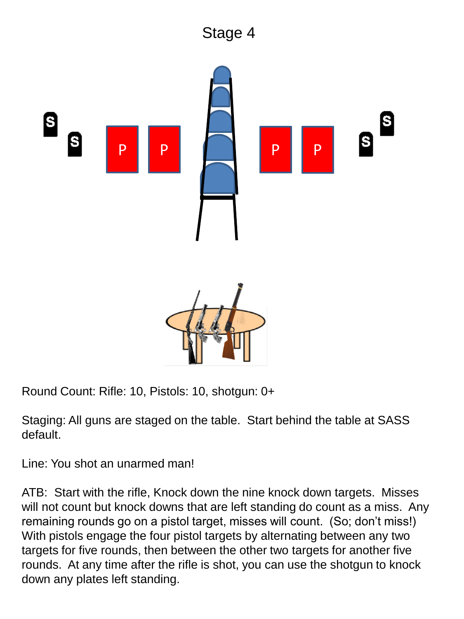## Stage 4



Round Count: Rifle: 10, Pistols: 10, shotgun: 0+

Staging: All guns are staged on the table. Start behind the table at SASS default.

Line: You shot an unarmed man!

ATB: Start with the rifle, Knock down the nine knock down targets. Misses will not count but knock downs that are left standing do count as a miss. Any remaining rounds go on a pistol target, misses will count. (So; don't miss!) With pistols engage the four pistol targets by alternating between any two targets for five rounds, then between the other two targets for another five rounds. At any time after the rifle is shot, you can use the shotgun to knock down any plates left standing.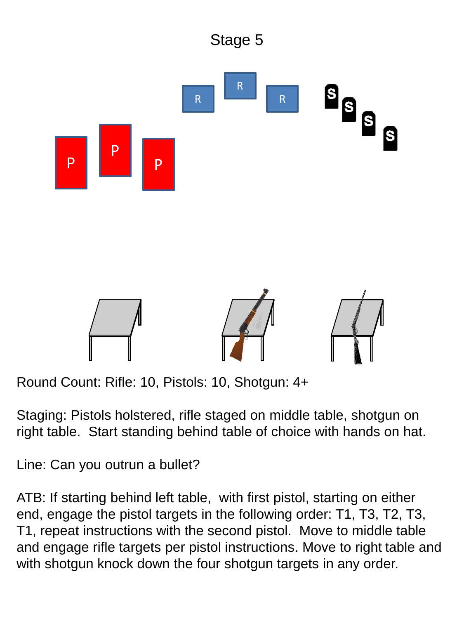

Round Count: Rifle: 10, Pistols: 10, Shotgun: 4+

Staging: Pistols holstered, rifle staged on middle table, shotgun on right table. Start standing behind table of choice with hands on hat.

Line: Can you outrun a bullet?

ATB: If starting behind left table, with first pistol, starting on either end, engage the pistol targets in the following order: T1, T3, T2, T3, T1, repeat instructions with the second pistol. Move to middle table and engage rifle targets per pistol instructions. Move to right table and with shotgun knock down the four shotgun targets in any order.